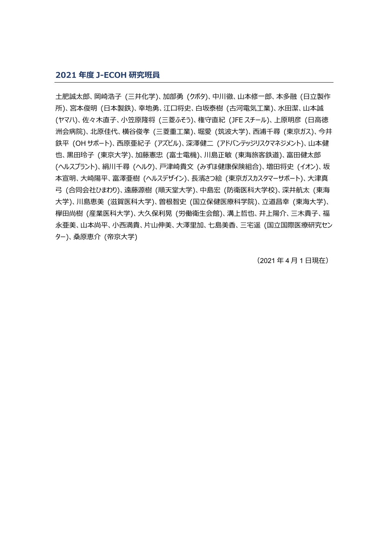## **2021 年度 J-ECOH 研究班員**

土肥誠太郎、岡崎浩子 (三井化学)、加部勇 (クボタ)、中川徹、山本修一郎、本多融 (日立製作 所)、宮本俊明 (日本製鉄)、幸地勇、江口将史、白坂泰樹 (古河電気工業)、水田潔、山本誠 (ヤマハ)、佐々木直子、小笠原隆将 (三菱ふそう)、権守直紀 (JFE スチール)、上原明彦 (日高徳 洲会病院)、北原佳代、横谷俊孝 (三菱重工業)、堀愛 (筑波大学)、西浦千尋 (東京ガス)、今井 鉄平 (OH サポート)、西原亜紀子 (アズビル)、深澤健二 (アドバンテッジリスクマネジメント)、山本健 也、黒田玲子 (東京大学)、加藤憲忠 (富士電機)、川島正敏 (東海旅客鉄道)、富田健太郎 (ヘルスプラント)、絹川千尋 (ヘルク)、戸津崎貴文 (みずほ健康保険組合)、増田将史 (イオン)、坂 本宣明、大崎陽平、富澤亜樹 (ヘルスデザイン)、長濱さつ絵 (東京ガスカスタマーサポート)、大津真 弓 (合同会社ひまわり)、遠藤源樹 (順天堂大学)、中島宏 (防衛医科大学校)、深井航太 (東海 大学)、川島恵美 (滋賀医科大学)、曽根智史 (国立保健医療科学院)、立道昌幸 (東海大学)、 欅田尚樹 (産業医科大学)、大久保利晃 (労働衛生会館)、溝上哲也、井上陽介、三木貴子、福 永亜美、山本尚平、小西満貴、片山伸美、大澤里加、七島美香、三宅遥 (国立国際医療研究セン ター)、桑原恵介 (帝京大学)

(2021 年 4 月 1 日現在)